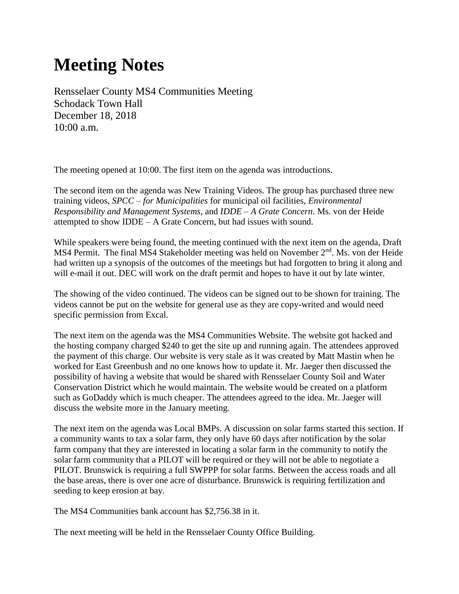## **Meeting Notes**

Rensselaer County MS4 Communities Meeting Schodack Town Hall December 18, 2018 10:00 a.m.

The meeting opened at 10:00. The first item on the agenda was introductions.

The second item on the agenda was New Training Videos. The group has purchased three new training videos, *SPCC – for Municipalities* for municipal oil facilities, *Environmental Responsibility and Management Systems*, and *IDDE – A Grate Concern*. Ms. von der Heide attempted to show IDDE – A Grate Concern, but had issues with sound.

While speakers were being found, the meeting continued with the next item on the agenda, Draft MS4 Permit. The final MS4 Stakeholder meeting was held on November  $2<sup>nd</sup>$ . Ms. von der Heide had written up a synopsis of the outcomes of the meetings but had forgotten to bring it along and will e-mail it out. DEC will work on the draft permit and hopes to have it out by late winter.

The showing of the video continued. The videos can be signed out to be shown for training. The videos cannot be put on the website for general use as they are copy-writed and would need specific permission from Excal.

The next item on the agenda was the MS4 Communities Website. The website got hacked and the hosting company charged \$240 to get the site up and running again. The attendees approved the payment of this charge. Our website is very stale as it was created by Matt Mastin when he worked for East Greenbush and no one knows how to update it. Mr. Jaeger then discussed the possibility of having a website that would be shared with Rensselaer County Soil and Water Conservation District which he would maintain. The website would be created on a platform such as GoDaddy which is much cheaper. The attendees agreed to the idea. Mr. Jaeger will discuss the website more in the January meeting.

The next item on the agenda was Local BMPs. A discussion on solar farms started this section. If a community wants to tax a solar farm, they only have 60 days after notification by the solar farm company that they are interested in locating a solar farm in the community to notify the solar farm community that a PILOT will be required or they will not be able to negotiate a PILOT. Brunswick is requiring a full SWPPP for solar farms. Between the access roads and all the base areas, there is over one acre of disturbance. Brunswick is requiring fertilization and seeding to keep erosion at bay.

The MS4 Communities bank account has \$2,756.38 in it.

The next meeting will be held in the Rensselaer County Office Building.